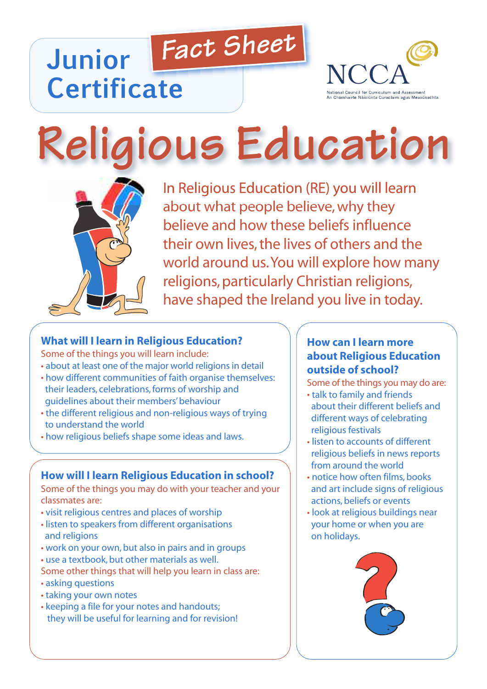# *Fact Sheet* **Junior Certificate**



# **Religious Education**



In Religious Education (RE) you will learn about what people believe, why they believe and how these beliefs influence their own lives, the lives of others and the world around us.You will explore how many religions, particularly Christian religions, have shaped the Ireland you live in today.

# **What will I learn in Religious Education?**

Some of the things you will learn include:

- about at least one of the major world religions in detail
- how different communities of faith organise themselves: their leaders, celebrations,forms of worship and guidelines about their members'behaviour
- the different religious and non-religious ways of trying to understand the world
- how religious beliefs shape some ideas and laws.

# **How will I learn Religious Education in school?**

Some of the things you may do with your teacher and your classmates are:

- visit religious centres and places of worship
- listen to speakers from different organisations and religions
- work on your own, but also in pairs and in groups
- use a textbook, but other materials as well.
- Some other things that will help you learn in class are:
- asking questions
- taking your own notes
- keeping a file for your notes and handouts; they will be useful for learning and for revision!

## **How can I learn more about Religious Education outside of school?**

Some of the things you may do are:

- talk to family and friends about their different beliefs and different ways of celebrating religious festivals
- listen to accounts of different religious beliefs in news reports from around the world
- notice how often films, books and art include signs of religious actions, beliefs or events
- look at religious buildings near your home or when you are on holidays.